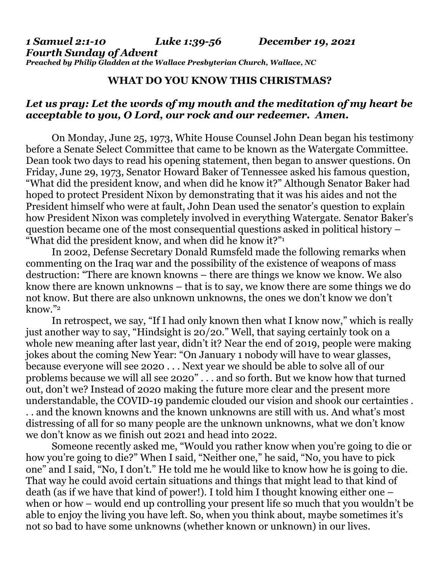*1 Samuel 2:1-10 Luke 1:39-56 December 19, 2021 Fourth Sunday of Advent Preached by Philip Gladden at the Wallace Presbyterian Church, Wallace, NC* 

## **WHAT DO YOU KNOW THIS CHRISTMAS?**

## *Let us pray: Let the words of my mouth and the meditation of my heart be acceptable to you, O Lord, our rock and our redeemer. Amen.*

 On Monday, June 25, 1973, White House Counsel John Dean began his testimony before a Senate Select Committee that came to be known as the Watergate Committee. Dean took two days to read his opening statement, then began to answer questions. On Friday, June 29, 1973, Senator Howard Baker of Tennessee asked his famous question, "What did the president know, and when did he know it?" Although Senator Baker had hoped to protect President Nixon by demonstrating that it was his aides and not the President himself who were at fault, John Dean used the senator's question to explain how President Nixon was completely involved in everything Watergate. Senator Baker's question became one of the most consequential questions asked in political history – "What did the president know, and when did he know it?"<sup>1</sup>

 In 2002, Defense Secretary Donald Rumsfeld made the following remarks when commenting on the Iraq war and the possibility of the existence of weapons of mass destruction: "There are known knowns – there are things we know we know. We also know there are known unknowns – that is to say, we know there are some things we do not know. But there are also unknown unknowns, the ones we don't know we don't know."<sup>2</sup>

 In retrospect, we say, "If I had only known then what I know now," which is really just another way to say, "Hindsight is 20/20." Well, that saying certainly took on a whole new meaning after last year, didn't it? Near the end of 2019, people were making jokes about the coming New Year: "On January 1 nobody will have to wear glasses, because everyone will see 2020 . . . Next year we should be able to solve all of our problems because we will all see 2020" . . . and so forth. But we know how that turned out, don't we? Instead of 2020 making the future more clear and the present more understandable, the COVID-19 pandemic clouded our vision and shook our certainties . . . and the known knowns and the known unknowns are still with us. And what's most distressing of all for so many people are the unknown unknowns, what we don't know we don't know as we finish out 2021 and head into 2022.

 Someone recently asked me, "Would you rather know when you're going to die or how you're going to die?" When I said, "Neither one," he said, "No, you have to pick one" and I said, "No, I don't." He told me he would like to know how he is going to die. That way he could avoid certain situations and things that might lead to that kind of death (as if we have that kind of power!). I told him I thought knowing either one – when or how – would end up controlling your present life so much that you wouldn't be able to enjoy the living you have left. So, when you think about, maybe sometimes it's not so bad to have some unknowns (whether known or unknown) in our lives.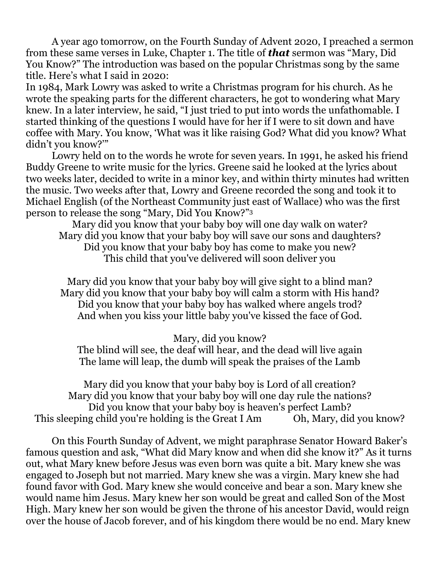A year ago tomorrow, on the Fourth Sunday of Advent 2020, I preached a sermon from these same verses in Luke, Chapter 1. The title of *that* sermon was "Mary, Did You Know?" The introduction was based on the popular Christmas song by the same title. Here's what I said in 2020:

In 1984, Mark Lowry was asked to write a Christmas program for his church. As he wrote the speaking parts for the different characters, he got to wondering what Mary knew. In a later interview, he said, "I just tried to put into words the unfathomable. I started thinking of the questions I would have for her if I were to sit down and have coffee with Mary. You know, 'What was it like raising God? What did you know? What didn't you know?'"

 Lowry held on to the words he wrote for seven years. In 1991, he asked his friend Buddy Greene to write music for the lyrics. Greene said he looked at the lyrics about two weeks later, decided to write in a minor key, and within thirty minutes had written the music. Two weeks after that, Lowry and Greene recorded the song and took it to Michael English (of the Northeast Community just east of Wallace) who was the first person to release the song "Mary, Did You Know?"<sup>3</sup>

Mary did you know that your baby boy will one day walk on water? Mary did you know that your baby boy will save our sons and daughters? Did you know that your baby boy has come to make you new? This child that you've delivered will soon deliver you

Mary did you know that your baby boy will give sight to a blind man? Mary did you know that your baby boy will calm a storm with His hand? Did you know that your baby boy has walked where angels trod? And when you kiss your little baby you've kissed the face of God.

Mary, did you know?

The blind will see, the deaf will hear, and the dead will live again The lame will leap, the dumb will speak the praises of the Lamb

Mary did you know that your baby boy is Lord of all creation? Mary did you know that your baby boy will one day rule the nations? Did you know that your baby boy is heaven's perfect Lamb? This sleeping child you're holding is the Great I Am Oh, Mary, did you know?

 On this Fourth Sunday of Advent, we might paraphrase Senator Howard Baker's famous question and ask, "What did Mary know and when did she know it?" As it turns out, what Mary knew before Jesus was even born was quite a bit. Mary knew she was engaged to Joseph but not married. Mary knew she was a virgin. Mary knew she had found favor with God. Mary knew she would conceive and bear a son. Mary knew she would name him Jesus. Mary knew her son would be great and called Son of the Most High. Mary knew her son would be given the throne of his ancestor David, would reign over the house of Jacob forever, and of his kingdom there would be no end. Mary knew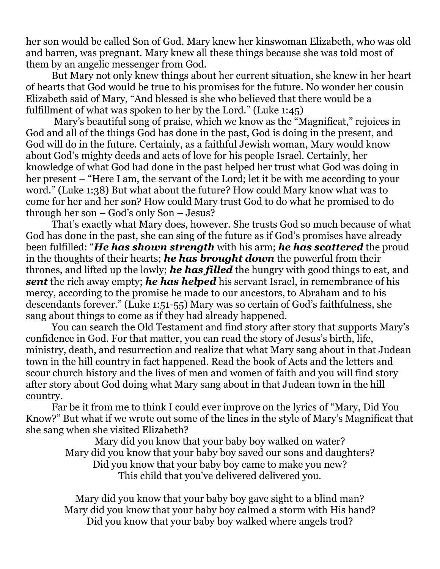her son would be called Son of God. Mary knew her kinswoman Elizabeth, who was old and barren, was pregnant. Mary knew all these things because she was told most of them by an angelic messenger from God.

 But Mary not only knew things about her current situation, she knew in her heart of hearts that God would be true to his promises for the future. No wonder her cousin Elizabeth said of Mary, "And blessed is she who believed that there would be a fulfillment of what was spoken to her by the Lord." (Luke 1:45)

 Mary's beautiful song of praise, which we know as the "Magnificat," rejoices in God and all of the things God has done in the past, God is doing in the present, and God will do in the future. Certainly, as a faithful Jewish woman, Mary would know about God's mighty deeds and acts of love for his people Israel. Certainly, her knowledge of what God had done in the past helped her trust what God was doing in her present – "Here I am, the servant of the Lord; let it be with me according to your word." (Luke 1:38) But what about the future? How could Mary know what was to come for her and her son? How could Mary trust God to do what he promised to do through her son – God's only Son – Jesus?

 That's exactly what Mary does, however. She trusts God so much because of what God has done in the past, she can sing of the future as if God's promises have already been fulfilled: "*He has shown strength* with his arm; *he has scattered* the proud in the thoughts of their hearts; *he has brought down* the powerful from their thrones, and lifted up the lowly; *he has filled* the hungry with good things to eat, and *sent* the rich away empty; *he has helped* his servant Israel, in remembrance of his mercy, according to the promise he made to our ancestors, to Abraham and to his descendants forever." (Luke 1:51-55) Mary was so certain of God's faithfulness, she sang about things to come as if they had already happened.

 You can search the Old Testament and find story after story that supports Mary's confidence in God. For that matter, you can read the story of Jesus's birth, life, ministry, death, and resurrection and realize that what Mary sang about in that Judean town in the hill country in fact happened. Read the book of Acts and the letters and scour church history and the lives of men and women of faith and you will find story after story about God doing what Mary sang about in that Judean town in the hill country.

 Far be it from me to think I could ever improve on the lyrics of "Mary, Did You Know?" But what if we wrote out some of the lines in the style of Mary's Magnificat that she sang when she visited Elizabeth?

Mary did you know that your baby boy walked on water? Mary did you know that your baby boy saved our sons and daughters? Did you know that your baby boy came to make you new? This child that you've delivered delivered you.

Mary did you know that your baby boy gave sight to a blind man? Mary did you know that your baby boy calmed a storm with His hand? Did you know that your baby boy walked where angels trod?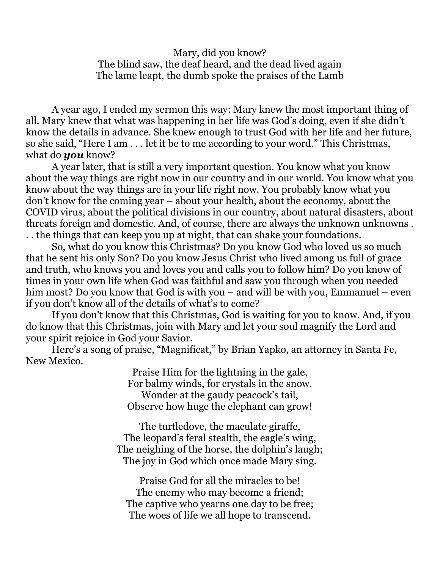Mary, did you know? The blind saw, the deaf heard, and the dead lived again The lame leapt, the dumb spoke the praises of the Lamb

 A year ago, I ended my sermon this way: Mary knew the most important thing of all. Mary knew that what was happening in her life was God's doing, even if she didn't know the details in advance. She knew enough to trust God with her life and her future, so she said, "Here I am . . . let it be to me according to your word." This Christmas, what do **you** know?

 A year later, that is still a very important question. You know what you know about the way things are right now in our country and in our world. You know what you know about the way things are in your life right now. You probably know what you don't know for the coming year – about your health, about the economy, about the COVID virus, about the political divisions in our country, about natural disasters, about threats foreign and domestic. And, of course, there are always the unknown unknowns . . . the things that can keep you up at night, that can shake your foundations.

 So, what do you know this Christmas? Do you know God who loved us so much that he sent his only Son? Do you know Jesus Christ who lived among us full of grace and truth, who knows you and loves you and calls you to follow him? Do you know of times in your own life when God was faithful and saw you through when you needed him most? Do you know that God is with you – and will be with you, Emmanuel – even if you don't know all of the details of what's to come?

 If you don't know that this Christmas, God is waiting for you to know. And, if you do know that this Christmas, join with Mary and let your soul magnify the Lord and your spirit rejoice in God your Savior.

 Here's a song of praise, "Magnificat," by Brian Yapko, an attorney in Santa Fe, New Mexico.

> Praise Him for the lightning in the gale, For balmy winds, for crystals in the snow. Wonder at the gaudy peacock's tail, Observe how huge the elephant can grow!

The turtledove, the maculate giraffe, The leopard's feral stealth, the eagle's wing, The neighing of the horse, the dolphin's laugh; The joy in God which once made Mary sing.

Praise God for all the miracles to be! The enemy who may become a friend; The captive who yearns one day to be free; The woes of life we all hope to transcend.